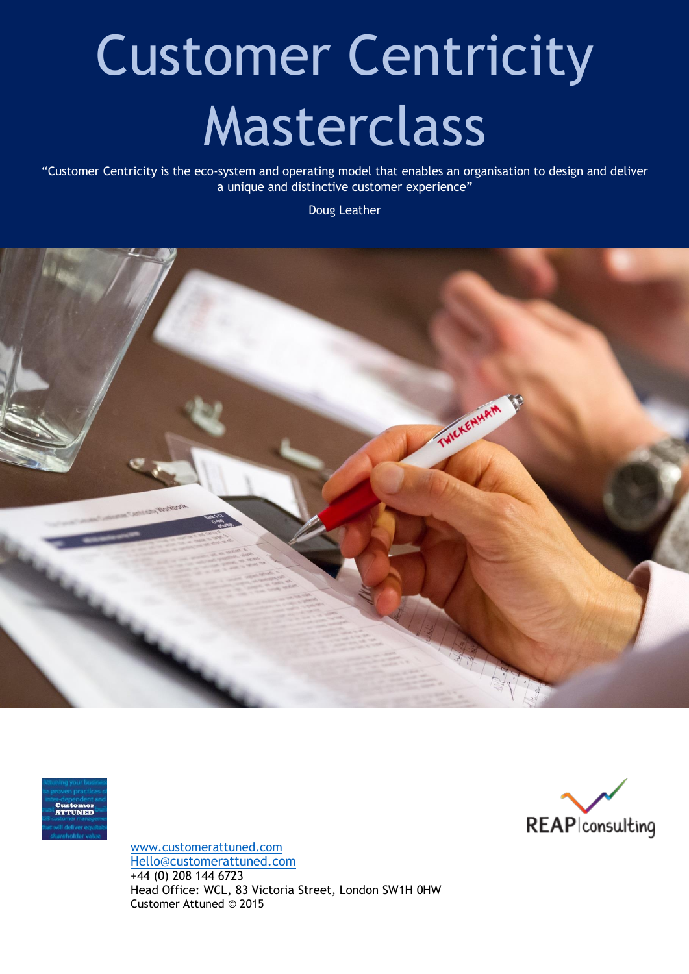# Customer Centricity Masterclass

"Customer Centricity is the eco-system and operating model that enables an organisation to design and deliver a unique and distinctive customer experience"

Doug Leather







[www.customerattuned.com](http://www.customerattuned.com/) [Hello@customerattuned.com](mailto:Hello@customerattuned.com) +44 (0) 208 144 6723 Head Office: WCL, 83 Victoria Street, London SW1H 0HW Customer Attuned © 2015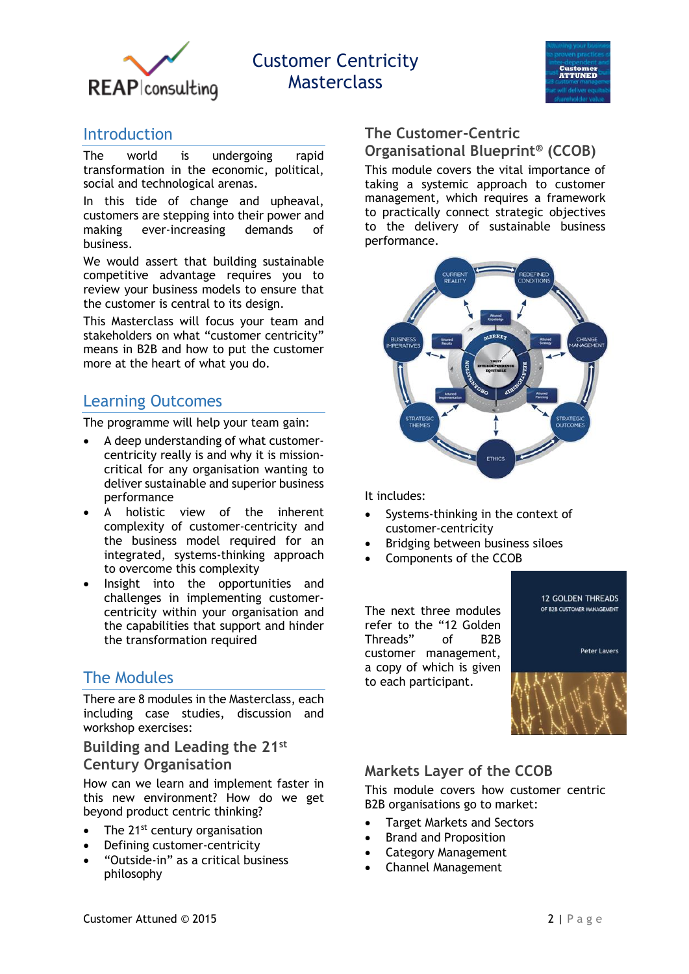

# Customer Centricity Masterclass



## **Introduction**

The world is undergoing rapid transformation in the economic, political, social and technological arenas.

In this tide of change and upheaval, customers are stepping into their power and making ever-increasing demands of business.

We would assert that building sustainable competitive advantage requires you to review your business models to ensure that the customer is central to its design.

This Masterclass will focus your team and stakeholders on what "customer centricity" means in B2B and how to put the customer more at the heart of what you do.

## Learning Outcomes

The programme will help your team gain:

- A deep understanding of what customercentricity really is and why it is missioncritical for any organisation wanting to deliver sustainable and superior business performance
- A holistic view of the inherent complexity of customer-centricity and the business model required for an integrated, systems-thinking approach to overcome this complexity
- Insight into the opportunities and challenges in implementing customercentricity within your organisation and the capabilities that support and hinder the transformation required

## The Modules

There are 8 modules in the Masterclass, each including case studies, discussion and workshop exercises:

**Building and Leading the 21st**

#### **Century Organisation**

How can we learn and implement faster in this new environment? How do we get beyond product centric thinking?

- The 21<sup>st</sup> century organisation
- Defining customer-centricity
- "Outside-in" as a critical business philosophy

## **The Customer-Centric Organisational Blueprint® (CCOB)**

This module covers the vital importance of taking a systemic approach to customer management, which requires a framework to practically connect strategic objectives to the delivery of sustainable business performance.



It includes:

- Systems-thinking in the context of customer-centricity
- Bridging between business siloes
- Components of the CCOB

The next three modules refer to the "12 Golden Threads" of B2B customer management, a copy of which is given to each participant.



**12 GOLDEN THREADS** 

## **Markets Layer of the CCOB**

This module covers how customer centric B2B organisations go to market:

- Target Markets and Sectors
- Brand and Proposition
- Category Management
- Channel Management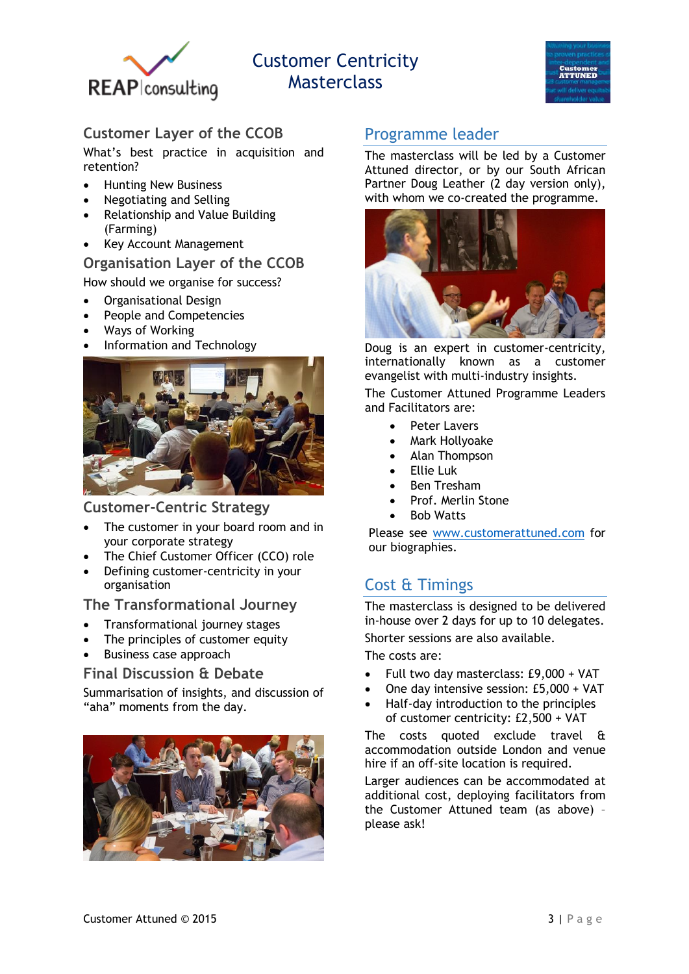

# Customer Centricity **Masterclass**



## **Customer Layer of the CCOB**

What's best practice in acquisition and retention?

- Hunting New Business
- Negotiating and Selling
- Relationship and Value Building (Farming)
- Key Account Management

#### **Organisation Layer of the CCOB**

How should we organise for success?

- Organisational Design
- People and Competencies
- Ways of Working
- Information and Technology



#### **Customer-Centric Strategy**

- The customer in your board room and in your corporate strategy
- The Chief Customer Officer (CCO) role
- Defining customer-centricity in your organisation

#### **The Transformational Journey**

- Transformational journey stages
- The principles of customer equity
- Business case approach

#### **Final Discussion & Debate**

Summarisation of insights, and discussion of "aha" moments from the day.



## Programme leader

The masterclass will be led by a Customer Attuned director, or by our South African Partner Doug Leather (2 day version only), with whom we co-created the programme.



Doug is an expert in customer-centricity, internationally known as a customer evangelist with multi-industry insights.

The Customer Attuned Programme Leaders and Facilitators are:

- Peter Lavers
- Mark Hollyoake
- Alan Thompson
- Ellie Luk
- Ben Tresham
- Prof. Merlin Stone
- Bob Watts

Please see [www.customerattuned.com](http://www.customerattuned.com/) for our biographies.

## Cost & Timings

The masterclass is designed to be delivered in-house over 2 days for up to 10 delegates.

Shorter sessions are also available.

The costs are:

- Full two day masterclass: £9,000 + VAT
- One day intensive session: £5,000 + VAT
- Half-day introduction to the principles of customer centricity: £2,500 + VAT

The costs quoted exclude travel & accommodation outside London and venue hire if an off-site location is required.

Larger audiences can be accommodated at additional cost, deploying facilitators from the Customer Attuned team (as above) – please ask!